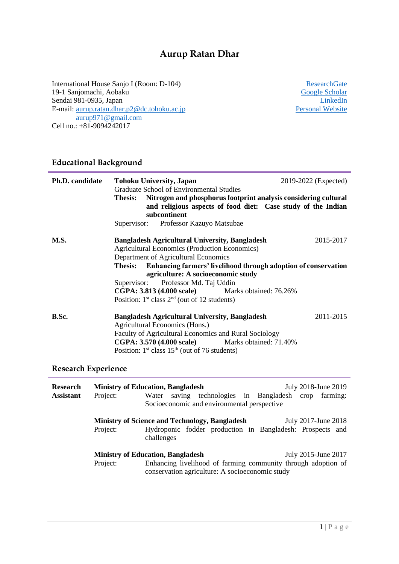# **Aurup Ratan Dhar**

International House Sanjo I (Room: D-104) 19-1 Sanjomachi, Aobaku Sendai 981-0935, Japan E-mail: <u>aurup.ratan.dhar.p2@dc.tohoku.ac.jp</u> [Personal Website](https://sites.google.com/view/aurup-ratan-dhar/home?authuser=7) [aurup971@gmail.com](mailto:aurup971@gmail.com) Cell no.: +81-9094242017

**[ResearchGate](http://www.researchgate.net/profile/Aurup_Ratan_Dhar)** [Google Scholar](https://scholar.google.com/citations?user=WB2WzJ4AAAAJ&hl=en) **[LinkedIn](http://www.linkedin.com/in/aurupratandhar)**<br>**Personal Website** 

## **Educational Background**

| <b>Ph.D. candidate</b>              | 2019-2022 (Expected)<br><b>Tohoku University, Japan</b><br><b>Graduate School of Environmental Studies</b><br>Nitrogen and phosphorus footprint analysis considering cultural<br><b>Thesis:</b><br>and religious aspects of food diet: Case study of the Indian<br>subcontinent<br>Supervisor: Professor Kazuyo Matsubae                                                                                                                 |
|-------------------------------------|------------------------------------------------------------------------------------------------------------------------------------------------------------------------------------------------------------------------------------------------------------------------------------------------------------------------------------------------------------------------------------------------------------------------------------------|
| <b>M.S.</b>                         | <b>Bangladesh Agricultural University, Bangladesh</b><br>2015-2017<br><b>Agricultural Economics (Production Economics)</b><br>Department of Agricultural Economics<br>Thesis: Enhancing farmers' livelihood through adoption of conservation<br>agriculture: A socioeconomic study<br>Supervisor: Professor Md. Taj Uddin<br><b>CGPA: 3.813 (4.000 scale)</b> Marks obtained: 76.26%<br>Position: $1st$ class $2nd$ (out of 12 students) |
| B.Sc.<br><b>Research Experience</b> | <b>Bangladesh Agricultural University, Bangladesh</b><br>2011-2015<br>Agricultural Economics (Hons.)<br>Faculty of Agricultural Economics and Rural Sociology<br><b>CGPA: 3.570 (4.000 scale)</b> Marks obtained: 71.40%<br>Position: $1st$ class $15th$ (out of 76 students)                                                                                                                                                            |

| <b>Research</b>  |                                                                                                                              | <b>Ministry of Education, Bangladesh</b><br>July 2018-June 2019         |  |  |  |  |
|------------------|------------------------------------------------------------------------------------------------------------------------------|-------------------------------------------------------------------------|--|--|--|--|
| <b>Assistant</b> | Project:                                                                                                                     | saving technologies in Bangladesh<br>farming:<br>Water<br>crop          |  |  |  |  |
|                  | Socioeconomic and environmental perspective                                                                                  |                                                                         |  |  |  |  |
|                  | <b>Ministry of Science and Technology, Bangladesh</b><br>July 2017-June 2018                                                 |                                                                         |  |  |  |  |
|                  | Project:                                                                                                                     | Hydroponic fodder production in Bangladesh: Prospects and<br>challenges |  |  |  |  |
|                  | <b>Ministry of Education, Bangladesh</b><br>July 2015-June 2017                                                              |                                                                         |  |  |  |  |
|                  | Enhancing livelihood of farming community through adoption of<br>Project:<br>conservation agriculture: A socioeconomic study |                                                                         |  |  |  |  |
|                  |                                                                                                                              |                                                                         |  |  |  |  |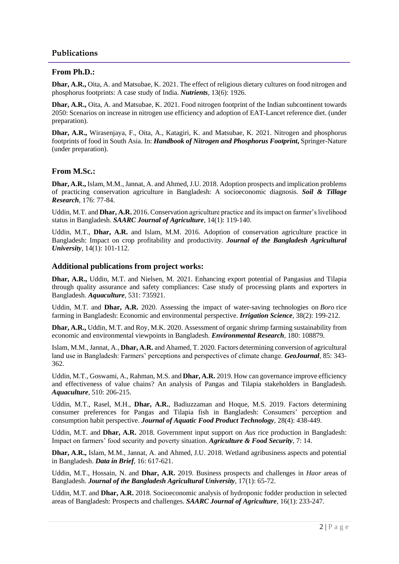## **Publications**

#### **From Ph.D.:**

**Dhar, A.R.,** Oita, A. and Matsubae, K. 2021. The effect of religious dietary cultures on food nitrogen and phosphorus footprints: A case study of India. *Nutrients*, 13(6): 1926.

**Dhar, A.R.,** Oita, A. and Matsubae, K. 2021. Food nitrogen footprint of the Indian subcontinent towards 2050: Scenarios on increase in nitrogen use efficiency and adoption of EAT-Lancet reference diet. (under preparation).

**Dhar, A.R.,** Wirasenjaya, F., Oita, A., Katagiri, K. and Matsubae, K. 2021. Nitrogen and phosphorus footprints of food in South Asia. In: *Handbook of Nitrogen and Phosphorus Footprint***,** Springer-Nature (under preparation).

## **From M.Sc.:**

**Dhar, A.R.,** Islam, M.M., Jannat, A. and Ahmed, J.U. 2018. Adoption prospects and implication problems of practicing conservation agriculture in Bangladesh: A socioeconomic diagnosis. *Soil & Tillage Research*, 176: 77-84.

Uddin, M.T. and **Dhar, A.R.** 2016. Conservation agriculture practice and its impact on farmer's livelihood status in Bangladesh. *SAARC Journal of Agriculture*, 14(1): 119-140.

Uddin, M.T., **Dhar, A.R.** and Islam, M.M. 2016. Adoption of conservation agriculture practice in Bangladesh: Impact on crop profitability and productivity. *Journal of the Bangladesh Agricultural University*, 14(1): 101-112.

#### **Additional publications from project works:**

**Dhar, A.R.,** Uddin, M.T. and Nielsen, M. 2021. Enhancing export potential of Pangasius and Tilapia through quality assurance and safety compliances: Case study of processing plants and exporters in Bangladesh. *Aquaculture*, 531: 735921.

Uddin, M.T. and **Dhar, A.R.** 2020. Assessing the impact of water-saving technologies on *Boro* rice farming in Bangladesh: Economic and environmental perspective. *Irrigation Science*, 38(2): 199-212.

**Dhar, A.R.,** Uddin, M.T. and Roy, M.K. 2020. Assessment of organic shrimp farming sustainability from economic and environmental viewpoints in Bangladesh. *Environmental Research*, 180: 108879.

Islam, M.M., Jannat, A., **Dhar, A.R.** and Ahamed, T. 2020. Factors determining conversion of agricultural land use in Bangladesh: Farmers' perceptions and perspectives of climate change. *GeoJournal*, 85: 343- 362.

Uddin, M.T., Goswami, A., Rahman, M.S. and **Dhar, A.R.** 2019. How can governance improve efficiency and effectiveness of value chains? An analysis of Pangas and Tilapia stakeholders in Bangladesh. *Aquaculture*, 510: 206-215.

Uddin, M.T., Rasel, M.H., **Dhar, A.R.**, Badiuzzaman and Hoque, M.S. 2019. Factors determining consumer preferences for Pangas and Tilapia fish in Bangladesh: Consumers' perception and consumption habit perspective. *Journal of Aquatic Food Product Technology*, 28(4): 438-449.

Uddin, M.T. and **Dhar, A.R.** 2018. Government input support on *Aus* rice production in Bangladesh: Impact on farmers' food security and poverty situation. *Agriculture & Food Security*, 7: 14.

**Dhar, A.R.,** Islam, M.M., Jannat, A. and Ahmed, J.U. 2018. Wetland agribusiness aspects and potential in Bangladesh. *Data in Brief*, 16: 617-621.

Uddin, M.T., Hossain, N. and **Dhar, A.R.** 2019. Business prospects and challenges in *Haor* areas of Bangladesh. *Journal of the Bangladesh Agricultural University*, 17(1): 65-72.

Uddin, M.T. and **Dhar, A.R.** 2018. Socioeconomic analysis of hydroponic fodder production in selected areas of Bangladesh: Prospects and challenges. *SAARC Journal of Agriculture*, 16(1): 233-247.